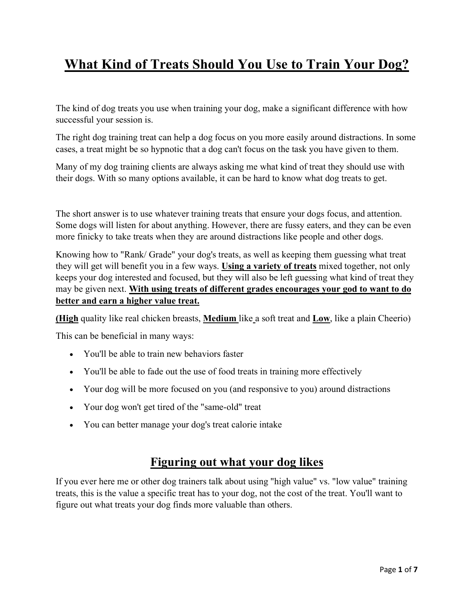# **What Kind of Treats Should You Use to Train Your Dog?**

The kind of dog treats you use when training your dog, make a significant difference with how successful your session is.

The right dog training treat can help a dog focus on you more easily around distractions. In some cases, a treat might be so hypnotic that a dog can't focus on the task you have given to them.

Many of my dog training clients are always asking me what kind of treat they should use with their dogs. With so many options available, it can be hard to know what dog treats to get.

The short answer is to use whatever training treats that ensure your dogs focus, and attention. Some dogs will listen for about anything. However, there are fussy eaters, and they can be even more finicky to take treats when they are around distractions like people and other dogs.

Knowing how to "Rank/ Grade" your dog's treats, as well as keeping them guessing what treat they will get will benefit you in a few ways. **Using a variety of treats** mixed together, not only keeps your dog interested and focused, but they will also be left guessing what kind of treat they may be given next. **With using treats of different grades encourages your god to want to do better and earn a higher value treat.** 

**(High** quality like real chicken breasts, **Medium** like a soft treat and **Low**, like a plain Cheerio)

This can be beneficial in many ways:

- You'll be able to train new behaviors faster
- You'll be able to fade out the use of food treats in training more effectively
- Your dog will be more focused on you (and responsive to you) around distractions
- Your dog won't get tired of the "same-old" treat
- You can better manage your dog's treat calorie intake

## **Figuring out what your dog likes**

If you ever here me or other dog trainers talk about using "high value" vs. "low value" training treats, this is the value a specific treat has to your dog, not the cost of the treat. You'll want to figure out what treats your dog finds more valuable than others.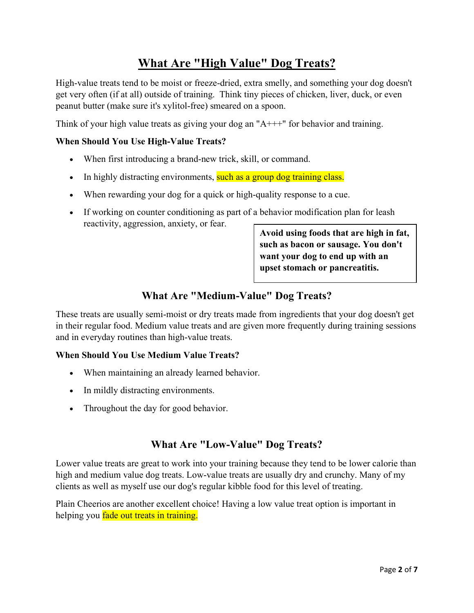# **What Are "High Value" Dog Treats?**

High-value treats tend to be moist or freeze-dried, extra smelly, and something your dog doesn't get very often (if at all) outside of training. Think tiny pieces of chicken, liver, duck, or even peanut butter (make sure it's xylitol-free) smeared on a spoon.

Think of your high value treats as giving your dog an "A+++" for behavior and training.

### **When Should You Use High-Value Treats?**

- When first introducing a brand-new trick, skill, or command.
- In highly distracting environments, such as a group dog training class.
- When rewarding your dog for a quick or high-quality response to a cue.
- If working on counter conditioning as part of a behavior modification plan for leash reactivity, aggression, anxiety, or fear.

**Avoid using foods that are high in fat, such as bacon or sausage. You don't want your dog to end up with an upset stomach or pancreatitis.** 

### **What Are "Medium-Value" Dog Treats?**

These treats are usually semi-moist or dry treats made from ingredients that your dog doesn't get in their regular food. Medium value treats and are given more frequently during training sessions and in everyday routines than high-value treats.

#### **When Should You Use Medium Value Treats?**

- When maintaining an already learned behavior.
- In mildly distracting environments.
- Throughout the day for good behavior.

### **What Are "Low-Value" Dog Treats?**

Lower value treats are great to work into your training because they tend to be lower calorie than high and medium value dog treats. Low-value treats are usually dry and crunchy. Many of my clients as well as myself use our dog's regular kibble food for this level of treating.

Plain Cheerios are another excellent choice! Having a low value treat option is important in helping you fade out treats in training.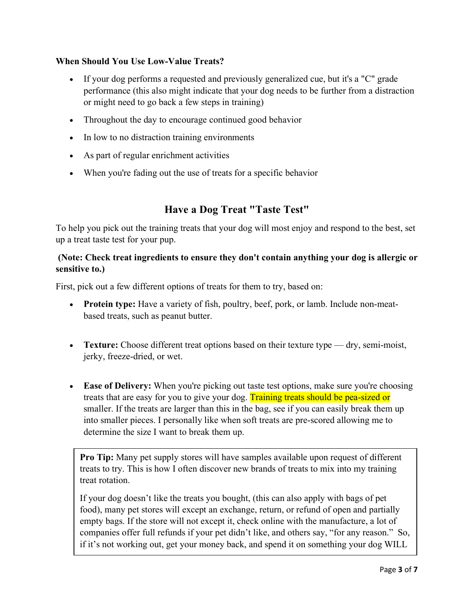#### **When Should You Use Low-Value Treats?**

- If your dog performs a requested and previously generalized cue, but it's a "C" grade performance (this also might indicate that your dog needs to be further from a distraction or might need to go back a few steps in training)
- Throughout the day to encourage continued good behavior
- In low to no distraction training environments
- As part of regular enrichment activities
- When you're fading out the use of treats for a specific behavior

### **Have a Dog Treat "Taste Test"**

To help you pick out the training treats that your dog will most enjoy and respond to the best, set up a treat taste test for your pup.

#### **(Note: Check treat ingredients to ensure they don't contain anything your dog is allergic or sensitive to.)**

First, pick out a few different options of treats for them to try, based on:

- **Protein type:** Have a variety of fish, poultry, beef, pork, or lamb. Include non-meatbased treats, such as peanut butter.
- **Texture:** Choose different treat options based on their texture type dry, semi-moist, jerky, freeze-dried, or wet.
- **Ease of Delivery:** When you're picking out taste test options, make sure you're choosing treats that are easy for you to give your dog. Training treats should be pea-sized or smaller. If the treats are larger than this in the bag, see if you can easily break them up into smaller pieces. I personally like when soft treats are pre-scored allowing me to determine the size I want to break them up.

**Pro Tip:** Many pet supply stores will have samples available upon request of different treats to try. This is how I often discover new brands of treats to mix into my training treat rotation.

If your dog doesn't like the treats you bought, (this can also apply with bags of pet food), many pet stores will except an exchange, return, or refund of open and partially empty bags. If the store will not except it, check online with the manufacture, a lot of companies offer full refunds if your pet didn't like, and others say, "for any reason." So, if it's not working out, get your money back, and spend it on something your dog WILL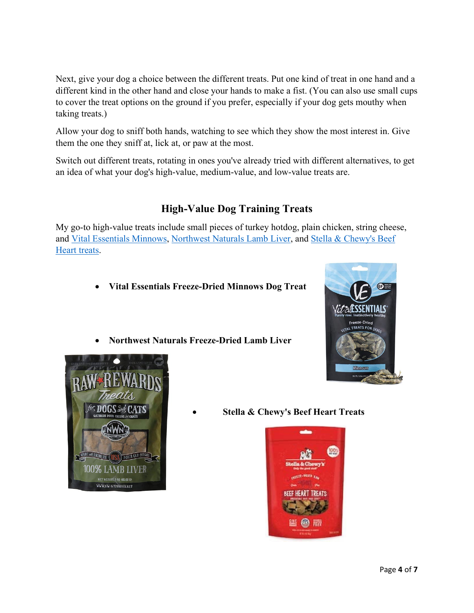Next, give your dog a choice between the different treats. Put one kind of treat in one hand and a different kind in the other hand and close your hands to make a fist. (You can also use small cups to cover the treat options on the ground if you prefer, especially if your dog gets mouthy when taking treats.)

Allow your dog to sniff both hands, watching to see which they show the most interest in. Give them the one they sniff at, lick at, or paw at the most.

Switch out different treats, rotating in ones you've already tried with different alternatives, to get an idea of what your dog's high-value, medium-value, and low-value treats are.

### **High-Value Dog Training Treats**

My go-to high-value treats include small pieces of turkey hotdog, plain chicken, string cheese, and [Vital Essentials Minnows,](https://amzn.to/2SeaYVG) [Northwest Naturals Lamb Liver,](https://amzn.to/2S9HUi1) and [Stella & Chewy's Beef](https://amzn.to/2GBW04B)  [Heart treats.](https://amzn.to/2GBW04B)

- **Vital Essentials Freeze-Dried Minnows Dog Treat**
- **Northwest Naturals Freeze-Dried Lamb Liver**





• **Stella & Chewy's Beef Heart Treats**

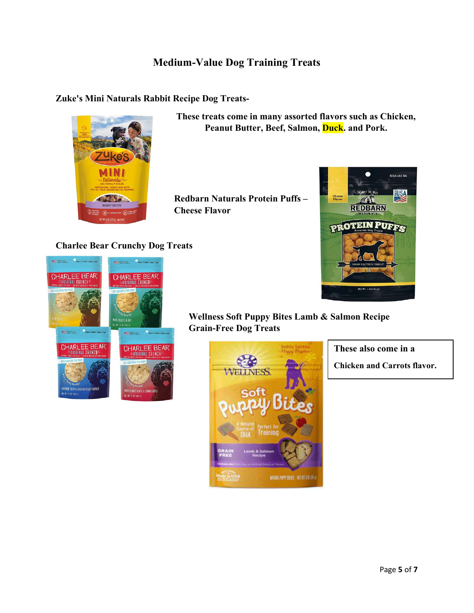### **Medium-Value Dog Training Treats**

#### **Zuke's Mini Naturals Rabbit Recipe Dog Treats-**



**These treats come in many assorted flavors such as Chicken, Peanut Butter, Beef, Salmon, Duck. and Pork.**

**Redbarn Naturals Protein Puffs – Cheese Flavor**



#### **Charlee Bear Crunchy Dog Treats**



### **Wellness Soft Puppy Bites Lamb & Salmon Recipe Grain-Free Dog Treats**



**These also come in a**

**Chicken and Carrots flavor.**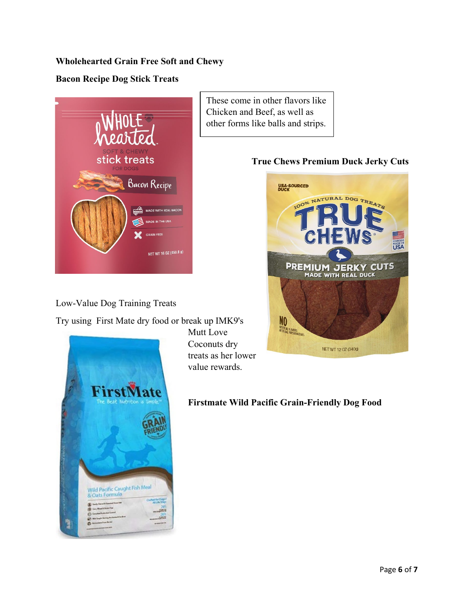### **Wholehearted Grain Free Soft and Chewy**

### **Bacon Recipe Dog Stick Treats**



Low-Value Dog Training Treats

Try using First Mate dry food or break up IMK9's



Mutt Love Coconuts dry treats as her lower value rewards.

**Firstmate Wild Pacific Grain-Friendly Dog Food**

### These come in other flavors like Chicken and Beef, as well as other forms like balls and strips.

### **True Chews Premium Duck Jerky Cuts**